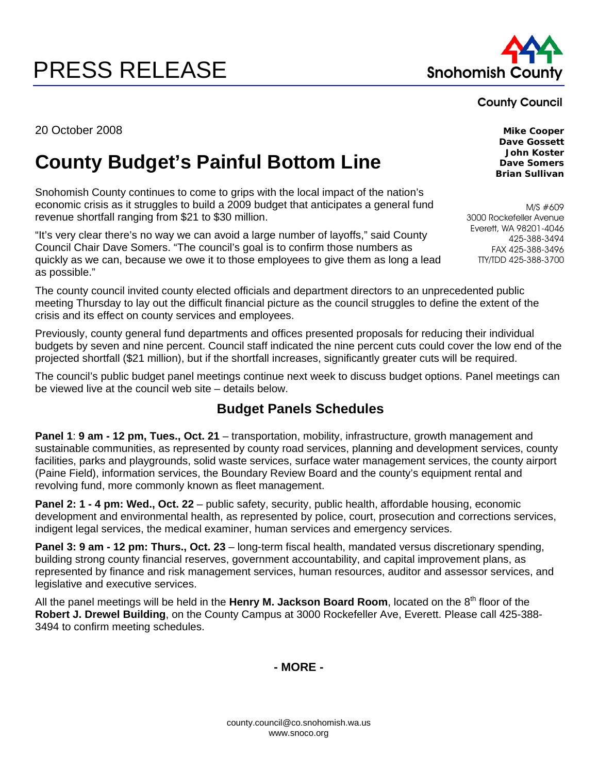# PRESS RELEASE Snohomish County



County Council

20 October 2008 **Mike Cooper** 

## **County Budget's Painful Bottom Line**

Snohomish County continues to come to grips with the local impact of the nation's economic crisis as it struggles to build a 2009 budget that anticipates a general fund revenue shortfall ranging from \$21 to \$30 million.

"It's very clear there's no way we can avoid a large number of layoffs," said County Council Chair Dave Somers. "The council's goal is to confirm those numbers as quickly as we can, because we owe it to those employees to give them as long a lead as possible."

The county council invited county elected officials and department directors to an unprecedented public meeting Thursday to lay out the difficult financial picture as the council struggles to define the extent of the crisis and its effect on county services and employees.

Previously, county general fund departments and offices presented proposals for reducing their individual budgets by seven and nine percent. Council staff indicated the nine percent cuts could cover the low end of the projected shortfall (\$21 million), but if the shortfall increases, significantly greater cuts will be required.

The council's public budget panel meetings continue next week to discuss budget options. Panel meetings can be viewed live at the council web site – details below.

#### **Budget Panels Schedules**

**Panel 1**: **9 am - 12 pm, Tues., Oct. 21** – transportation, mobility, infrastructure, growth management and sustainable communities, as represented by county road services, planning and development services, county facilities, parks and playgrounds, solid waste services, surface water management services, the county airport (Paine Field), information services, the Boundary Review Board and the county's equipment rental and revolving fund, more commonly known as fleet management.

**Panel 2: 1 - 4 pm: Wed., Oct. 22** – public safety, security, public health, affordable housing, economic development and environmental health, as represented by police, court, prosecution and corrections services, indigent legal services, the medical examiner, human services and emergency services.

**Panel 3: 9 am - 12 pm: Thurs., Oct. 23** – long-term fiscal health, mandated versus discretionary spending, building strong county financial reserves, government accountability, and capital improvement plans, as represented by finance and risk management services, human resources, auditor and assessor services, and legislative and executive services.

All the panel meetings will be held in the Henry M. Jackson Board Room, located on the 8<sup>th</sup> floor of the **Robert J. Drewel Building**, on the County Campus at 3000 Rockefeller Ave, Everett. Please call 425-388- 3494 to confirm meeting schedules.

**- MORE -** 

**Dave Gossett John Koster Dave Somers Brian Sullivan** 

M/S #609 3000 Rockefeller Avenue Everett, WA 98201-4046 425-388-3494 FAX 425-388-3496 TTY/TDD 425-388-3700